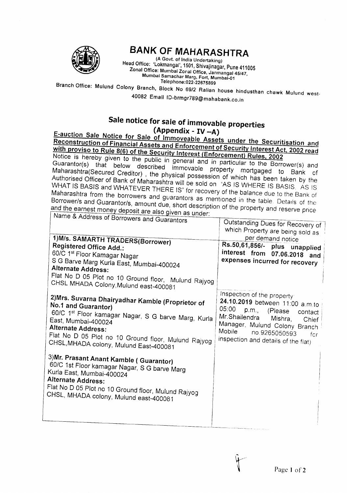

## **BANK OF MAHARASHTRA**

(A Govt. of India Undertaking) Head Office: 'Lokmangal', 1501, Shivajinagar, Pune 411005 Zonal Office: Mumbai Zonal Office, Janmangal 45/47, Mumbai Samachar Marg, Fort, Mumbai-01 Telephone: 022-22675899

Branch Office: Mulund Colony Branch, Block No 69/2 Ralian house hindusthan chawk Mulund west-

40082 Email ID-brmgr789@mahabank.co.in

## Sale notice for sale of immovable properties (Appendix - IV  $-A$ )

E-auction Sale Notice for Sale of Immoveable Assets under the Securitisation and Reconstruction of Financial Assets and Enforcement of Security Interest Act, 2002 read with proviso to Rule 8(6) of the Security Interest (Enforcement) Rules, 2002

Notice is hereby given to the public in general and in particular to the Borrower(s) and Guarantor(s) that below described immovable property mortgaged to Bank of Maharashtra(Secured Creditor), the physical possession of which has been taken by the Authorised Officer of Bank of Maharashtra will be sold on "AS IS WHERE IS BASIS. AS IS WHAT IS BASIS and WHATEVER THERE IS" for recovery of the balance due to the Bank of Maharashtra from the borrowers and guarantors as mentioned in the table. Details of the Borrower/s and Guarantor/s, amount due, short description of the property and reserve price and the earnest money deposit are also given as under: Name & Address of

| reality of Address of Borrowers and Guarantors<br>1) M/s. SAMARTH TRADERS(Borrower)<br>Registered Office Add.:<br>60/C 1 <sup>st</sup> Floor Kamagar Nagar<br>S G Barve Marg Kurla East, Mumbai-400024<br>Alternate Address:<br>Flat No D 05 Plot no 10 Ground floor, Mulund Rajyog<br>CHSL MHADA Colony, Mulund east-400081 | Outstanding Dues for Recovery of<br>which Property are being sold as<br>per demand notice<br>Rs.50,61,856/- plus unapplied<br>interest from 07.06.2018 and<br>expenses incurred for recovery                                                 |
|------------------------------------------------------------------------------------------------------------------------------------------------------------------------------------------------------------------------------------------------------------------------------------------------------------------------------|----------------------------------------------------------------------------------------------------------------------------------------------------------------------------------------------------------------------------------------------|
| 2) Mrs. Suvarna Dhairyadhar Kamble (Proprietor of<br>No.1 and Guarantor)<br>60/C 1 <sup>st</sup> Floor kamagar Nagar, S G barve Marg, Kurla<br>East, Mumbai-400024<br><b>Alternate Address:</b><br>Flat No D 05 Plot no 10 Ground floor, Mulund Rajyog<br>CHSL, MHADA colony, Mulund East-400081                             | Inspection of the property:<br>24.10.2019 between 11:00 a.m.to<br>05:00<br>p.m., (Please<br>contact<br>Mr.Shailendra Mishra,<br>Chief<br>Manager, Mulund Colony Branch<br>Mobile no.9265050593<br>for<br>inspection and details of the flat) |
| 3) Mr. Prasant Anant Kamble (Guarantor)<br>60/C 1st Floor kamagar Nagar, S G barve Marg<br>Kurla East, Mumbai-400024<br>Alternate Address:<br>Flat No D 05 Plot no 10 Ground floor, Mulund Rajyog<br>CHSL, MHADA colony, Mulund east-400081                                                                                  |                                                                                                                                                                                                                                              |